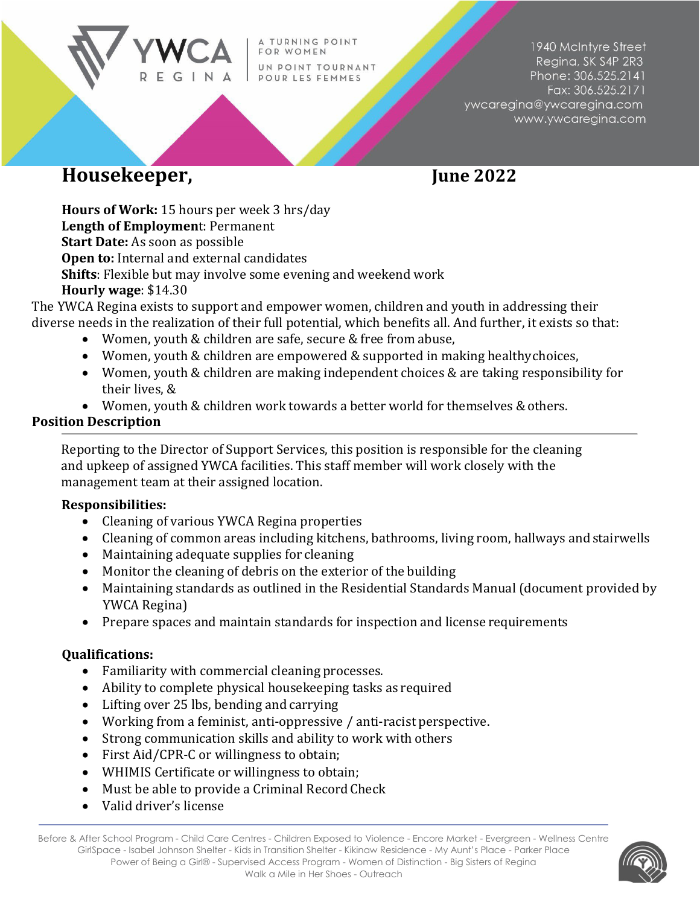TURNING POINT FOR WOMEN UN POINT TOURNANT POUR LES FEMMES

1940 McIntyre Street Regina, SK S4P 2R3 Phone: 306.525.2141 Fax: 306.525.2171 ywcaregina@ywcaregina.com www.ywcaregina.com

# **Housekeeper, June 2022**

**Hours of Work:** 15 hours per week 3 hrs/day **Length of Employmen**t: Permanent **Start Date:** As soon as possible **Open to:** Internal and external candidates **Shifts**: Flexible but may involve some evening and weekend work **Hourly wage**: \$14.30

The YWCA Regina exists to support and empower women, children and youth in addressing their diverse needs in the realization of their full potential, which benefits all. And further, it exists so that:

- Women, youth & children are safe, secure & free from abuse,
- Women, youth & children are empowered & supported in making healthy choices,
- Women, youth & children are making independent choices & are taking responsibility for their lives, &
- Women, youth & children work towards a better world for themselves & others.

## **Position Description**

Reporting to the Director of Support Services, this position is responsible for the cleaning and upkeep of assigned YWCA facilities. This staff member will work closely with the management team at their assigned location.

### **Responsibilities:**

- Cleaning of various YWCA Regina properties
- Cleaning of common areas including kitchens, bathrooms, living room, hallways and stairwells
- Maintaining adequate supplies for cleaning
- Monitor the cleaning of debris on the exterior of the building
- Maintaining standards as outlined in the Residential Standards Manual (document provided by YWCA Regina)
- Prepare spaces and maintain standards for inspection and license requirements

## **Qualifications:**

- Familiarity with commercial cleaning processes.
- Ability to complete physical housekeeping tasks as required
- Lifting over 25 lbs, bending and carrying
- Working from a feminist, anti-oppressive / anti-racist perspective.
- Strong communication skills and ability to work with others
- First Aid/CPR-C or willingness to obtain;
- WHIMIS Certificate or willingness to obtain;
- Must be able to provide a Criminal Record Check
- Valid driver's license